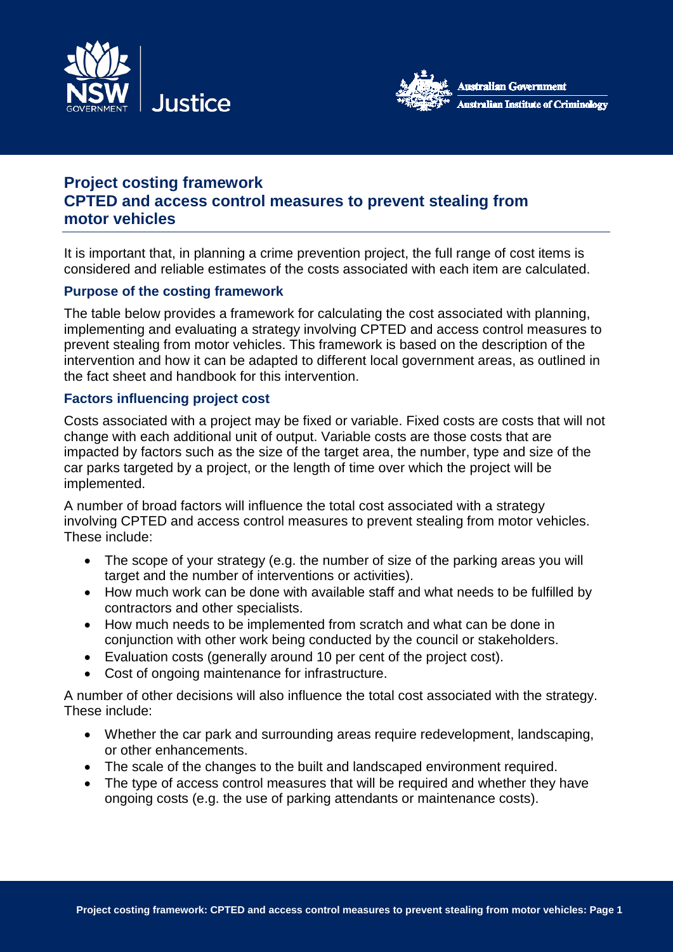



# **Project costing framework CPTED and access control measures to prevent stealing from motor vehicles**

It is important that, in planning a crime prevention project, the full range of cost items is considered and reliable estimates of the costs associated with each item are calculated.

## **Purpose of the costing framework**

The table below provides a framework for calculating the cost associated with planning, implementing and evaluating a strategy involving CPTED and access control measures to prevent stealing from motor vehicles. This framework is based on the description of the intervention and how it can be adapted to different local government areas, as outlined in the fact sheet and handbook for this intervention.

### **Factors influencing project cost**

Costs associated with a project may be fixed or variable. Fixed costs are costs that will not change with each additional unit of output. Variable costs are those costs that are impacted by factors such as the size of the target area, the number, type and size of the car parks targeted by a project, or the length of time over which the project will be implemented.

A number of broad factors will influence the total cost associated with a strategy involving CPTED and access control measures to prevent stealing from motor vehicles. These include:

- The scope of your strategy (e.g. the number of size of the parking areas you will target and the number of interventions or activities).
- How much work can be done with available staff and what needs to be fulfilled by contractors and other specialists.
- How much needs to be implemented from scratch and what can be done in conjunction with other work being conducted by the council or stakeholders.
- Evaluation costs (generally around 10 per cent of the project cost).
- Cost of ongoing maintenance for infrastructure.

A number of other decisions will also influence the total cost associated with the strategy. These include:

- Whether the car park and surrounding areas require redevelopment, landscaping, or other enhancements.
- The scale of the changes to the built and landscaped environment required.
- The type of access control measures that will be required and whether they have ongoing costs (e.g. the use of parking attendants or maintenance costs).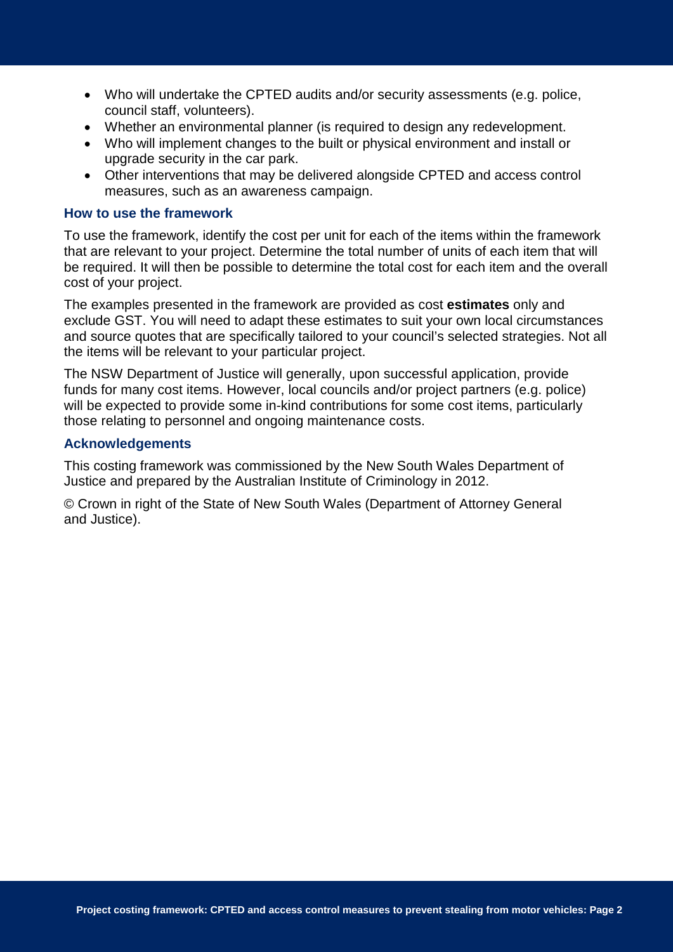- Who will undertake the CPTED audits and/or security assessments (e.g. police, council staff, volunteers).
- Whether an environmental planner (is required to design any redevelopment.
- Who will implement changes to the built or physical environment and install or upgrade security in the car park.
- Other interventions that may be delivered alongside CPTED and access control measures, such as an awareness campaign.

### **How to use the framework**

To use the framework, identify the cost per unit for each of the items within the framework that are relevant to your project. Determine the total number of units of each item that will be required. It will then be possible to determine the total cost for each item and the overall cost of your project.

The examples presented in the framework are provided as cost **estimates** only and exclude GST. You will need to adapt these estimates to suit your own local circumstances and source quotes that are specifically tailored to your council's selected strategies. Not all the items will be relevant to your particular project.

The NSW Department of Justice will generally, upon successful application, provide funds for many cost items. However, local councils and/or project partners (e.g. police) will be expected to provide some in-kind contributions for some cost items, particularly those relating to personnel and ongoing maintenance costs.

### **Acknowledgements**

This costing framework was commissioned by the New South Wales Department of Justice and prepared by the Australian Institute of Criminology in 2012.

© Crown in right of the State of New South Wales (Department of Attorney General and Justice).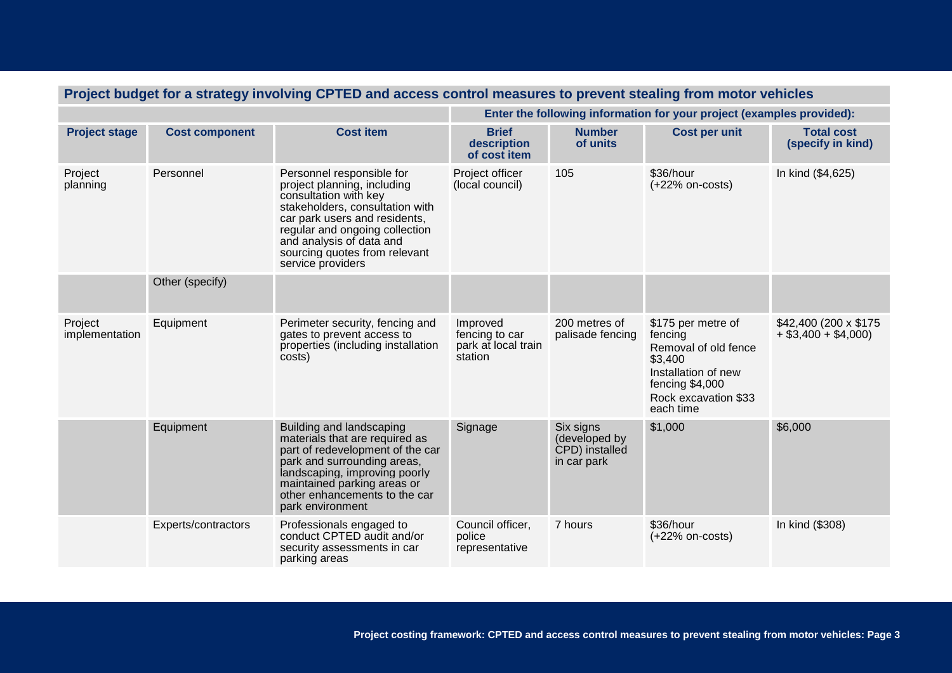| Project budget for a strategy involving CPTED and access control measures to prevent stealing from motor vehicles |                       |                                                                                                                                                                                                                                                                           |                                                                       |                                                             |                                                                                                                                                 |                                                  |  |  |
|-------------------------------------------------------------------------------------------------------------------|-----------------------|---------------------------------------------------------------------------------------------------------------------------------------------------------------------------------------------------------------------------------------------------------------------------|-----------------------------------------------------------------------|-------------------------------------------------------------|-------------------------------------------------------------------------------------------------------------------------------------------------|--------------------------------------------------|--|--|
|                                                                                                                   |                       |                                                                                                                                                                                                                                                                           | Enter the following information for your project (examples provided): |                                                             |                                                                                                                                                 |                                                  |  |  |
| <b>Project stage</b>                                                                                              | <b>Cost component</b> | <b>Cost item</b>                                                                                                                                                                                                                                                          | <b>Brief</b><br>description<br>of cost item                           | <b>Number</b><br>of units                                   | <b>Cost per unit</b>                                                                                                                            | <b>Total cost</b><br>(specify in kind)           |  |  |
| Project<br>planning                                                                                               | Personnel             | Personnel responsible for<br>project planning, including<br>consultation with key<br>stakeholders, consultation with<br>car park users and residents,<br>regular and ongoing collection<br>and analysis of data and<br>sourcing quotes from relevant<br>service providers | Project officer<br>(local council)                                    | 105                                                         | \$36/hour<br>$(+22%$ on-costs)                                                                                                                  | In kind (\$4,625)                                |  |  |
|                                                                                                                   | Other (specify)       |                                                                                                                                                                                                                                                                           |                                                                       |                                                             |                                                                                                                                                 |                                                  |  |  |
| Project<br>implementation                                                                                         | Equipment             | Perimeter security, fencing and<br>gates to prevent access to<br>properties (including installation<br>costs)                                                                                                                                                             | Improved<br>fencing to car<br>park at local train<br>station          | 200 metres of<br>palisade fencing                           | \$175 per metre of<br>fencing<br>Removal of old fence<br>\$3,400<br>Installation of new<br>fencing \$4,000<br>Rock excavation \$33<br>each time | \$42,400 (200 x \$175)<br>$+$ \$3,400 + \$4,000) |  |  |
|                                                                                                                   | Equipment             | Building and landscaping<br>materials that are required as<br>part of redevelopment of the car<br>park and surrounding areas,<br>landscaping, improving poorly<br>maintained parking areas or<br>other enhancements to the car<br>park environment                        | Signage                                                               | Six signs<br>(developed by<br>CPD) installed<br>in car park | \$1,000                                                                                                                                         | \$6,000                                          |  |  |
|                                                                                                                   | Experts/contractors   | Professionals engaged to<br>conduct CPTED audit and/or<br>security assessments in car<br>parking areas                                                                                                                                                                    | Council officer,<br>police<br>representative                          | 7 hours                                                     | \$36/hour<br>$(+22%$ on-costs)                                                                                                                  | In kind (\$308)                                  |  |  |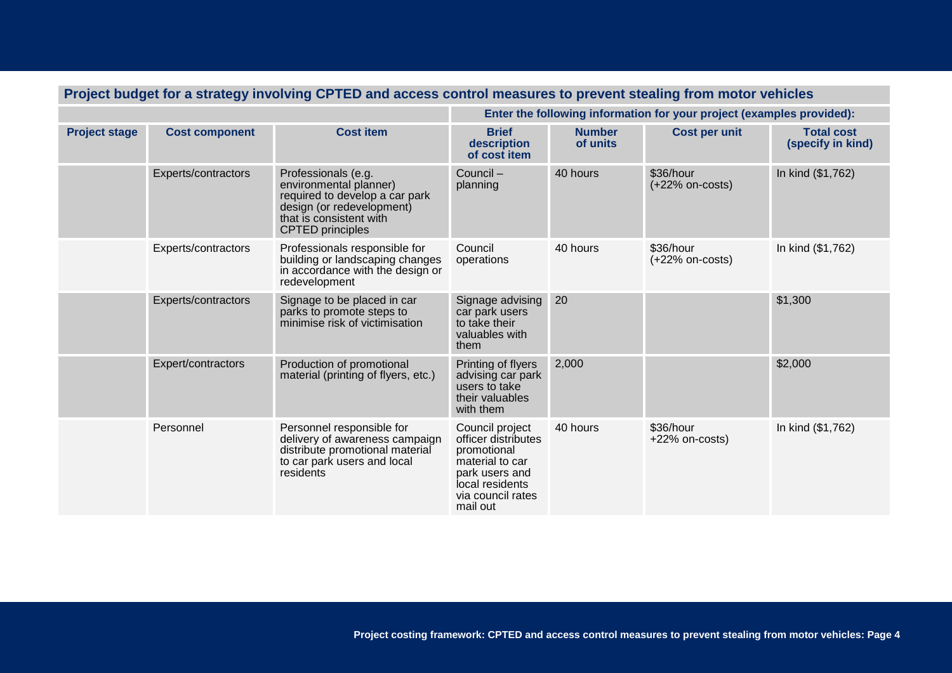| Project budget for a strategy involving CPTED and access control measures to prevent stealing from motor vehicles |                       |                                                                                                                                                                    |                                                                                                                                                |                           |                                |                                        |  |
|-------------------------------------------------------------------------------------------------------------------|-----------------------|--------------------------------------------------------------------------------------------------------------------------------------------------------------------|------------------------------------------------------------------------------------------------------------------------------------------------|---------------------------|--------------------------------|----------------------------------------|--|
|                                                                                                                   |                       |                                                                                                                                                                    | Enter the following information for your project (examples provided):                                                                          |                           |                                |                                        |  |
| <b>Project stage</b>                                                                                              | <b>Cost component</b> | <b>Cost item</b>                                                                                                                                                   | <b>Brief</b><br>description<br>of cost item                                                                                                    | <b>Number</b><br>of units | <b>Cost per unit</b>           | <b>Total cost</b><br>(specify in kind) |  |
|                                                                                                                   | Experts/contractors   | Professionals (e.g.<br>environmental planner)<br>required to develop a car park<br>design (or redevelopment)<br>that is consistent with<br><b>CPTED</b> principles | Council-<br>planning                                                                                                                           | 40 hours                  | \$36/hour<br>$(+22%$ on-costs) | In kind (\$1,762)                      |  |
|                                                                                                                   | Experts/contractors   | Professionals responsible for<br>building or landscaping changes<br>in accordance with the design or<br>redevelopment                                              | Council<br>operations                                                                                                                          | 40 hours                  | \$36/hour<br>$(+22%$ on-costs) | In kind (\$1,762)                      |  |
|                                                                                                                   | Experts/contractors   | Signage to be placed in car<br>parks to promote steps to<br>minimise risk of victimisation                                                                         | Signage advising<br>car park users<br>to take their<br>valuables with<br>them                                                                  | 20                        |                                | \$1,300                                |  |
|                                                                                                                   | Expert/contractors    | Production of promotional<br>material (printing of flyers, etc.)                                                                                                   | Printing of flyers<br>advising car park<br>users to take<br>their valuables<br>with them                                                       | 2,000                     |                                | \$2,000                                |  |
|                                                                                                                   | Personnel             | Personnel responsible for<br>delivery of awareness campaign<br>distribute promotional material<br>to car park users and local<br>residents                         | Council project<br>officer distributes<br>promotional<br>material to car<br>park users and<br>local residents<br>via council rates<br>mail out | 40 hours                  | \$36/hour<br>$+22\%$ on-costs) | In kind (\$1,762)                      |  |